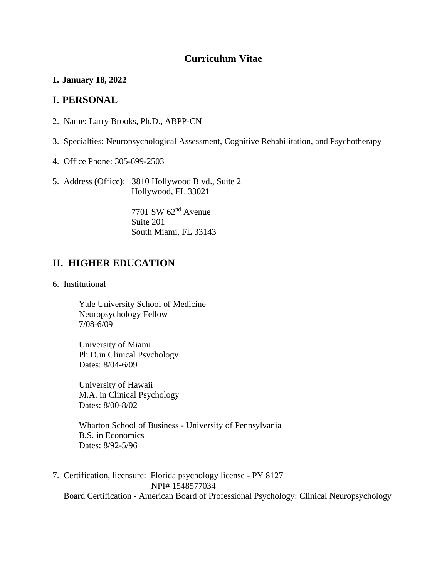## **Curriculum Vitae**

**1. January 18, 2022**

### **I. PERSONAL**

- 2. Name: Larry Brooks, Ph.D., ABPP-CN
- 3. Specialties: Neuropsychological Assessment, Cognitive Rehabilitation, and Psychotherapy
- 4. Office Phone: 305-699-2503
- 5. Address (Office): 3810 Hollywood Blvd., Suite 2 Hollywood, FL 33021

7701 SW 62nd Avenue Suite 201 South Miami, FL 33143

## **II. HIGHER EDUCATION**

6. Institutional

Yale University School of Medicine Neuropsychology Fellow 7/08-6/09

University of Miami Ph.D.in Clinical Psychology Dates: 8/04-6/09

University of Hawaii M.A. in Clinical Psychology Dates: 8/00-8/02

Wharton School of Business - University of Pennsylvania B.S. in Economics Dates: 8/92-5/96

7. Certification, licensure: Florida psychology license - PY 8127 NPI# 1548577034 Board Certification - American Board of Professional Psychology: Clinical Neuropsychology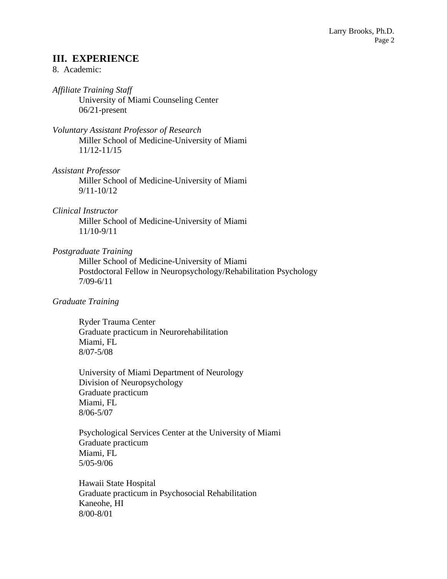### **III. EXPERIENCE**

### 8. Academic:

*Affiliate Training Staff* University of Miami Counseling Center 06/21-present

*Voluntary Assistant Professor of Research* Miller School of Medicine-University of Miami 11/12-11/15

*Assistant Professor*

Miller School of Medicine-University of Miami 9/11-10/12

#### *Clinical Instructor*

Miller School of Medicine-University of Miami 11/10-9/11

#### *Postgraduate Training*

Miller School of Medicine-University of Miami Postdoctoral Fellow in Neuropsychology/Rehabilitation Psychology 7/09-6/11

#### *Graduate Training*

Ryder Trauma Center Graduate practicum in Neurorehabilitation Miami, FL 8/07-5/08

University of Miami Department of Neurology Division of Neuropsychology Graduate practicum Miami, FL 8/06-5/07

Psychological Services Center at the University of Miami Graduate practicum Miami, FL 5/05-9/06

Hawaii State Hospital Graduate practicum in Psychosocial Rehabilitation Kaneohe, HI 8/00-8/01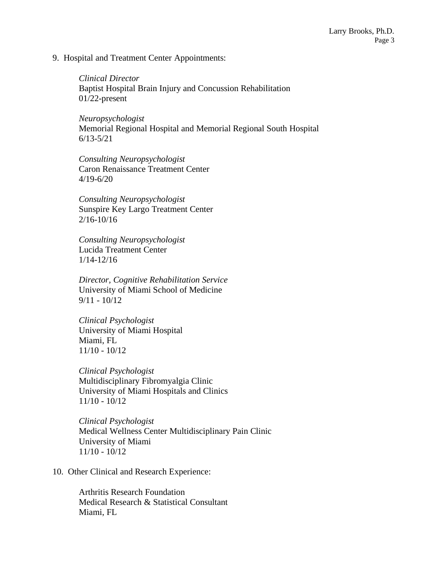9. Hospital and Treatment Center Appointments:

*Clinical Director* Baptist Hospital Brain Injury and Concussion Rehabilitation 01/22-present

*Neuropsychologist* Memorial Regional Hospital and Memorial Regional South Hospital 6/13-5/21

*Consulting Neuropsychologist* Caron Renaissance Treatment Center 4/19-6/20

*Consulting Neuropsychologist* Sunspire Key Largo Treatment Center 2/16-10/16

*Consulting Neuropsychologist* Lucida Treatment Center 1/14-12/16

*Director, Cognitive Rehabilitation Service* University of Miami School of Medicine 9/11 - 10/12

*Clinical Psychologist* University of Miami Hospital Miami, FL 11/10 - 10/12

*Clinical Psychologist* Multidisciplinary Fibromyalgia Clinic University of Miami Hospitals and Clinics 11/10 - 10/12

*Clinical Psychologist* Medical Wellness Center Multidisciplinary Pain Clinic University of Miami 11/10 - 10/12

10. Other Clinical and Research Experience:

Arthritis Research Foundation Medical Research & Statistical Consultant Miami, FL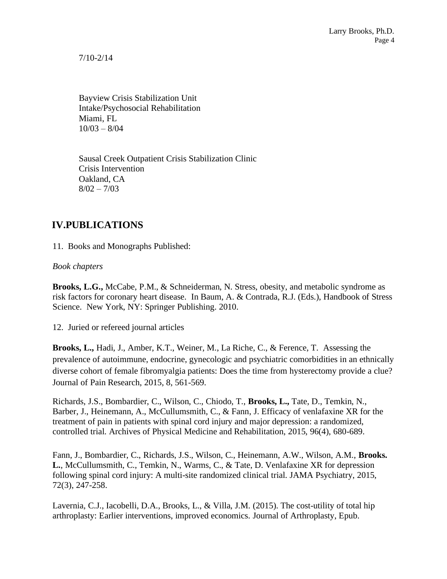7/10-2/14

Bayview Crisis Stabilization Unit Intake/Psychosocial Rehabilitation Miami, FL  $10/03 - 8/04$ 

Sausal Creek Outpatient Crisis Stabilization Clinic Crisis Intervention Oakland, CA  $8/02 - 7/03$ 

# **IV.PUBLICATIONS**

11. Books and Monographs Published:

*Book chapters*

**Brooks, L.G.,** McCabe, P.M., & Schneiderman, N. Stress, obesity, and metabolic syndrome as risk factors for coronary heart disease. In Baum, A. & Contrada, R.J. (Eds.), Handbook of Stress Science. New York, NY: Springer Publishing. 2010.

12. Juried or refereed journal articles

**Brooks, L.,** Hadi, J., Amber, K.T., Weiner, M., La Riche, C., & Ference, T. Assessing the prevalence of autoimmune, endocrine, gynecologic and psychiatric comorbidities in an ethnically diverse cohort of female fibromyalgia patients: Does the time from hysterectomy provide a clue? Journal of Pain Research, 2015, 8, 561-569.

Richards, J.S., Bombardier, C., Wilson, C., Chiodo, T., **Brooks, L.,** Tate, D., Temkin, N., Barber, J., Heinemann, A., McCullumsmith, C., & Fann, J. Efficacy of venlafaxine XR for the treatment of pain in patients with spinal cord injury and major depression: a randomized, controlled trial. Archives of Physical Medicine and Rehabilitation, 2015, 96(4), 680-689.

Fann, J., Bombardier, C., Richards, J.S., Wilson, C., Heinemann, A.W., Wilson, A.M., **Brooks. L.**, McCullumsmith, C., Temkin, N., Warms, C., & Tate, D. Venlafaxine XR for depression following spinal cord injury: A multi-site randomized clinical trial. JAMA Psychiatry, 2015, 72(3), 247-258.

Lavernia, C.J., Iacobelli, D.A., Brooks, L., & Villa, J.M. (2015). The cost-utility of total hip arthroplasty: Earlier interventions, improved economics. Journal of Arthroplasty, Epub.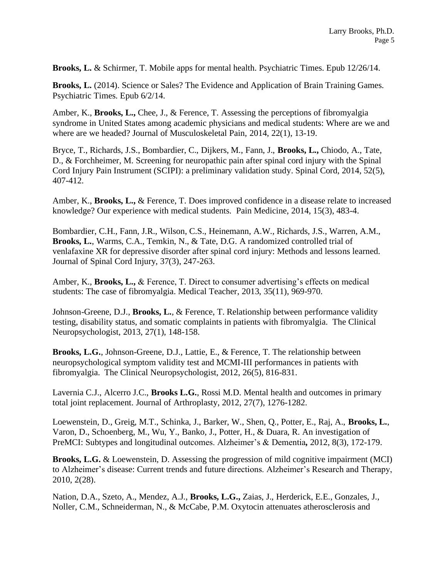**Brooks, L.** & Schirmer, T. Mobile apps for mental health. Psychiatric Times. Epub 12/26/14.

**Brooks, L.** (2014). Science or Sales? The Evidence and Application of Brain Training Games. Psychiatric Times. Epub 6/2/14.

Amber, K., **Brooks, L.,** Chee, J., & Ference, T. Assessing the perceptions of fibromyalgia syndrome in United States among academic physicians and medical students: Where are we and where are we headed? Journal of Musculoskeletal Pain, 2014, 22(1), 13-19.

Bryce, T., Richards, J.S., Bombardier, C., Dijkers, M., Fann, J., **Brooks, L.,** Chiodo, A., Tate, D., & Forchheimer, M. Screening for neuropathic pain after spinal cord injury with the Spinal Cord Injury Pain Instrument (SCIPI): a preliminary validation study. Spinal Cord, 2014, 52(5), 407-412.

Amber, K., **Brooks, L.,** & Ference, T. Does improved confidence in a disease relate to increased knowledge? Our experience with medical students. Pain Medicine, 2014, 15(3), 483-4.

Bombardier, C.H., Fann, J.R., Wilson, C.S., Heinemann, A.W., Richards, J.S., Warren, A.M., **Brooks, L.**, Warms, C.A., Temkin, N., & Tate, D.G. A randomized controlled trial of venlafaxine XR for depressive disorder after spinal cord injury: Methods and lessons learned. Journal of Spinal Cord Injury, 37(3), 247-263.

Amber, K., **Brooks, L.,** & Ference, T. Direct to consumer advertising's effects on medical students: The case of fibromyalgia. Medical Teacher, 2013, 35(11), 969-970.

Johnson-Greene, D.J., **Brooks, L.**, & Ference, T. Relationship between performance validity testing, disability status, and somatic complaints in patients with fibromyalgia. The Clinical Neuropsychologist, 2013, 27(1), 148-158.

**Brooks, L.G.**, Johnson-Greene, D.J., Lattie, E., & Ference, T. The relationship between neuropsychological symptom validity test and MCMI-III performances in patients with fibromyalgia. The Clinical Neuropsychologist, 2012, 26(5), 816-831.

Lavernia C.J., Alcerro J.C., **Brooks L.G.**, Rossi M.D. Mental health and outcomes in primary total joint replacement. Journal of Arthroplasty, 2012, 27(7), 1276-1282.

Loewenstein, D., Greig, M.T., Schinka, J., Barker, W., Shen, Q., Potter, E., Raj, A., **Brooks, L.**, Varon, D., Schoenberg, M., Wu, Y., Banko, J., Potter, H., & Duara, R. An investigation of PreMCI: Subtypes and longitudinal outcomes. Alzheimer's & Dementia*,* 2012, 8(3), 172-179.

**Brooks, L.G.** & Loewenstein, D. Assessing the progression of mild cognitive impairment (MCI) to Alzheimer's disease: Current trends and future directions. Alzheimer's Research and Therapy, 2010, 2(28).

Nation, D.A., Szeto, A., Mendez, A.J., **Brooks, L.G.,** Zaias, J., Herderick, E.E., Gonzales, J., Noller, C.M., Schneiderman, N., & McCabe, P.M. Oxytocin attenuates atherosclerosis and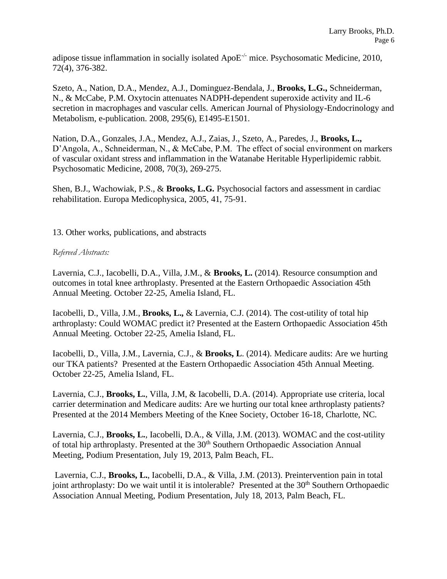adipose tissue inflammation in socially isolated Apo $E^{-/-}$  mice. Psychosomatic Medicine, 2010, 72(4), 376-382.

Szeto, A., Nation, D.A., Mendez, A.J., Dominguez-Bendala, J., **Brooks, L.G.,** Schneiderman, N., & McCabe, P.M. Oxytocin attenuates NADPH-dependent superoxide activity and IL-6 secretion in macrophages and vascular cells. American Journal of Physiology-Endocrinology and Metabolism, e-publication. 2008, 295(6), E1495-E1501.

Nation, D.A., Gonzales, J.A., Mendez, A.J., Zaias, J., Szeto, A., Paredes, J., **Brooks, L.,** D'Angola, A., Schneiderman, N., & McCabe, P.M. The effect of social environment on markers of vascular oxidant stress and inflammation in the Watanabe Heritable Hyperlipidemic rabbit. Psychosomatic Medicine, 2008, 70(3), 269-275.

Shen, B.J., Wachowiak, P.S., & **Brooks, L.G.** Psychosocial factors and assessment in cardiac rehabilitation. Europa Medicophysica, 2005, 41, 75-91.

13. Other works, publications, and abstracts

### *Refereed Abstracts:*

Lavernia, C.J., Iacobelli, D.A., Villa, J.M., & **Brooks, L.** (2014). Resource consumption and outcomes in total knee arthroplasty. Presented at the Eastern Orthopaedic Association 45th Annual Meeting. October 22-25, Amelia Island, FL.

Iacobelli, D., Villa, J.M., **Brooks, L.,** & Lavernia, C.J. (2014). The cost-utility of total hip arthroplasty: Could WOMAC predict it? Presented at the Eastern Orthopaedic Association 45th Annual Meeting. October 22-25, Amelia Island, FL.

Iacobelli, D., Villa, J.M., Lavernia, C.J., & **Brooks, L**. (2014). Medicare audits: Are we hurting our TKA patients? Presented at the Eastern Orthopaedic Association 45th Annual Meeting. October 22-25, Amelia Island, FL.

Lavernia, C.J., **Brooks, L.**, Villa, J.M, & Iacobelli, D.A. (2014). Appropriate use criteria, local carrier determination and Medicare audits: Are we hurting our total knee arthroplasty patients? Presented at the 2014 Members Meeting of the Knee Society, October 16-18, Charlotte, NC.

Lavernia, C.J., **Brooks, L.**, Iacobelli, D.A., & Villa, J.M. (2013). WOMAC and the cost-utility of total hip arthroplasty. Presented at the 30<sup>th</sup> Southern Orthopaedic Association Annual Meeting, Podium Presentation, July 19, 2013, Palm Beach, FL.

Lavernia, C.J., **Brooks, L.**, Iacobelli, D.A., & Villa, J.M. (2013). Preintervention pain in total joint arthroplasty: Do we wait until it is intolerable? Presented at the 30<sup>th</sup> Southern Orthopaedic Association Annual Meeting, Podium Presentation, July 18, 2013, Palm Beach, FL.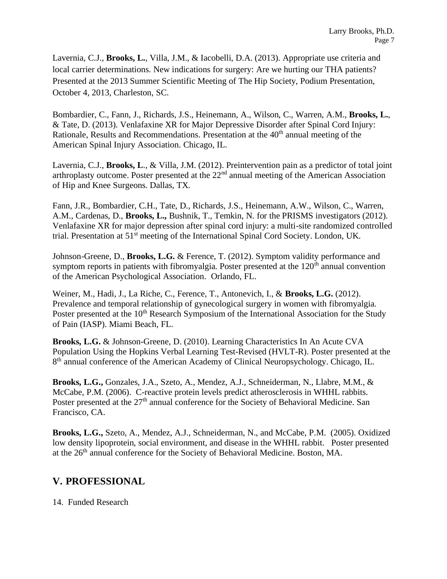Lavernia, C.J., **Brooks, L.**, Villa, J.M., & Iacobelli, D.A. (2013). Appropriate use criteria and local carrier determinations. New indications for surgery: Are we hurting our THA patients? Presented at the 2013 Summer Scientific Meeting of The Hip Society, Podium Presentation, October 4, 2013, Charleston, SC.

Bombardier, C., Fann, J., Richards, J.S., Heinemann, A., Wilson, C., Warren, A.M., **Brooks, L.**, & Tate, D. (2013). Venlafaxine XR for Major Depressive Disorder after Spinal Cord Injury: Rationale, Results and Recommendations. Presentation at the 40<sup>th</sup> annual meeting of the American Spinal Injury Association. Chicago, IL.

Lavernia, C.J., **Brooks, L**., & Villa, J.M. (2012). Preintervention pain as a predictor of total joint arthroplasty outcome. Poster presented at the 22nd annual meeting of the American Association of Hip and Knee Surgeons. Dallas, TX.

Fann, J.R., Bombardier, C.H., Tate, D., Richards, J.S., Heinemann, A.W., Wilson, C., Warren, A.M., Cardenas, D., **Brooks, L.,** Bushnik, T., Temkin, N. for the PRISMS investigators (2012). Venlafaxine XR for major depression after spinal cord injury: a multi-site randomized controlled trial. Presentation at 51st meeting of the International Spinal Cord Society. London, UK.

Johnson-Greene, D., **Brooks, L.G.** & Ference, T. (2012). Symptom validity performance and symptom reports in patients with fibromyalgia. Poster presented at the  $120<sup>th</sup>$  annual convention of the American Psychological Association. Orlando, FL.

Weiner, M., Hadi, J., La Riche, C., Ference, T., Antonevich, I., & **Brooks, L.G.** (2012). Prevalence and temporal relationship of gynecological surgery in women with fibromyalgia. Poster presented at the 10<sup>th</sup> Research Symposium of the International Association for the Study of Pain (IASP). Miami Beach, FL.

**Brooks, L.G.** & Johnson-Greene, D. (2010). Learning Characteristics In An Acute CVA Population Using the Hopkins Verbal Learning Test-Revised (HVLT-R). Poster presented at the 8<sup>th</sup> annual conference of the American Academy of Clinical Neuropsychology. Chicago, IL.

**Brooks, L.G.,** Gonzales, J.A., Szeto, A., Mendez, A.J., Schneiderman, N., Llabre, M.M., & McCabe, P.M. (2006). C-reactive protein levels predict atherosclerosis in WHHL rabbits. Poster presented at the 27<sup>th</sup> annual conference for the Society of Behavioral Medicine. San Francisco, CA.

**Brooks, L.G.,** Szeto, A., Mendez, A.J., Schneiderman, N., and McCabe, P.M. (2005). Oxidized low density lipoprotein, social environment, and disease in the WHHL rabbit. Poster presented at the 26<sup>th</sup> annual conference for the Society of Behavioral Medicine. Boston, MA.

# **V. PROFESSIONAL**

14. Funded Research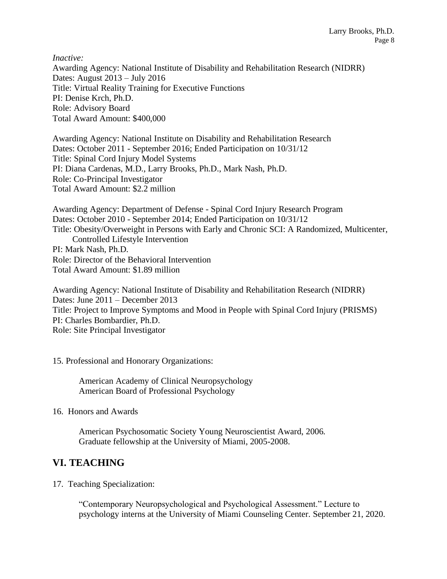*Inactive:* Awarding Agency: National Institute of Disability and Rehabilitation Research (NIDRR) Dates: August 2013 – July 2016 Title: Virtual Reality Training for Executive Functions PI: Denise Krch, Ph.D. Role: Advisory Board Total Award Amount: \$400,000

Awarding Agency: National Institute on Disability and Rehabilitation Research Dates: October 2011 - September 2016; Ended Participation on 10/31/12 Title: Spinal Cord Injury Model Systems PI: Diana Cardenas, M.D., Larry Brooks, Ph.D., Mark Nash, Ph.D. Role: Co-Principal Investigator Total Award Amount: \$2.2 million

Awarding Agency: Department of Defense - Spinal Cord Injury Research Program Dates: October 2010 - September 2014; Ended Participation on 10/31/12 Title: Obesity/Overweight in Persons with Early and Chronic SCI: A Randomized, Multicenter, Controlled Lifestyle Intervention PI: Mark Nash, Ph.D. Role: Director of the Behavioral Intervention Total Award Amount: \$1.89 million

Awarding Agency: National Institute of Disability and Rehabilitation Research (NIDRR) Dates: June 2011 – December 2013 Title: Project to Improve Symptoms and Mood in People with Spinal Cord Injury (PRISMS) PI: Charles Bombardier, Ph.D. Role: Site Principal Investigator

15. Professional and Honorary Organizations:

American Academy of Clinical Neuropsychology American Board of Professional Psychology

16. Honors and Awards

American Psychosomatic Society Young Neuroscientist Award, 2006. Graduate fellowship at the University of Miami, 2005-2008.

# **VI. TEACHING**

17. Teaching Specialization:

"Contemporary Neuropsychological and Psychological Assessment." Lecture to psychology interns at the University of Miami Counseling Center. September 21, 2020.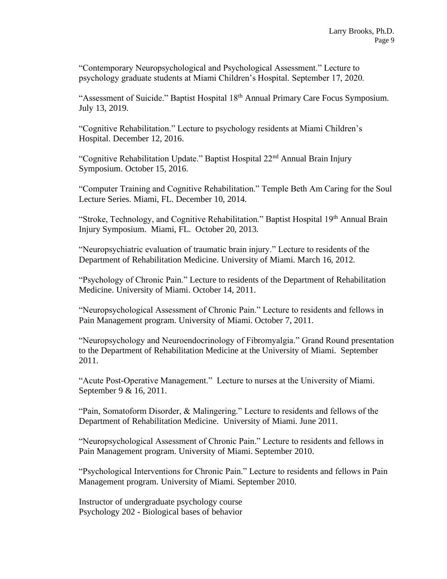"Contemporary Neuropsychological and Psychological Assessment." Lecture to psychology graduate students at Miami Children's Hospital. September 17, 2020.

"Assessment of Suicide." Baptist Hospital 18<sup>th</sup> Annual Primary Care Focus Symposium. July 13, 2019.

"Cognitive Rehabilitation." Lecture to psychology residents at Miami Children's Hospital. December 12, 2016.

"Cognitive Rehabilitation Update." Baptist Hospital 22nd Annual Brain Injury Symposium. October 15, 2016.

"Computer Training and Cognitive Rehabilitation." Temple Beth Am Caring for the Soul Lecture Series. Miami, FL. December 10, 2014.

"Stroke, Technology, and Cognitive Rehabilitation." Baptist Hospital 19<sup>th</sup> Annual Brain Injury Symposium. Miami, FL. October 20, 2013.

"Neuropsychiatric evaluation of traumatic brain injury." Lecture to residents of the Department of Rehabilitation Medicine. University of Miami. March 16, 2012.

"Psychology of Chronic Pain." Lecture to residents of the Department of Rehabilitation Medicine. University of Miami. October 14, 2011.

"Neuropsychological Assessment of Chronic Pain." Lecture to residents and fellows in Pain Management program. University of Miami. October 7, 2011.

"Neuropsychology and Neuroendocrinology of Fibromyalgia." Grand Round presentation to the Department of Rehabilitation Medicine at the University of Miami. September 2011.

"Acute Post-Operative Management." Lecture to nurses at the University of Miami. September 9 & 16, 2011.

"Pain, Somatoform Disorder, & Malingering." Lecture to residents and fellows of the Department of Rehabilitation Medicine. University of Miami. June 2011.

"Neuropsychological Assessment of Chronic Pain." Lecture to residents and fellows in Pain Management program. University of Miami. September 2010.

"Psychological Interventions for Chronic Pain." Lecture to residents and fellows in Pain Management program. University of Miami. September 2010.

Instructor of undergraduate psychology course Psychology 202 - Biological bases of behavior